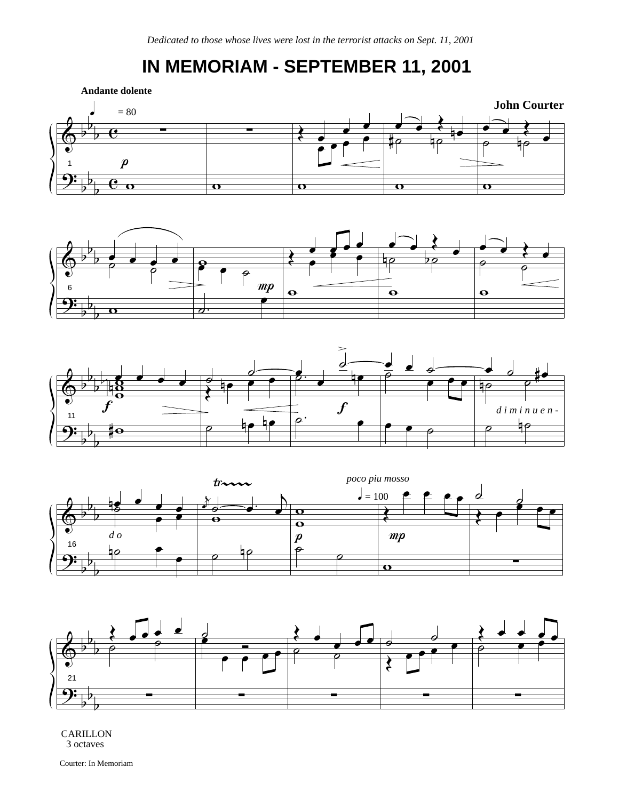## **IN MEMORIAM - SEPTEMBER 11, 2001**











CARILLON 3 octaves

Courter: In Memoriam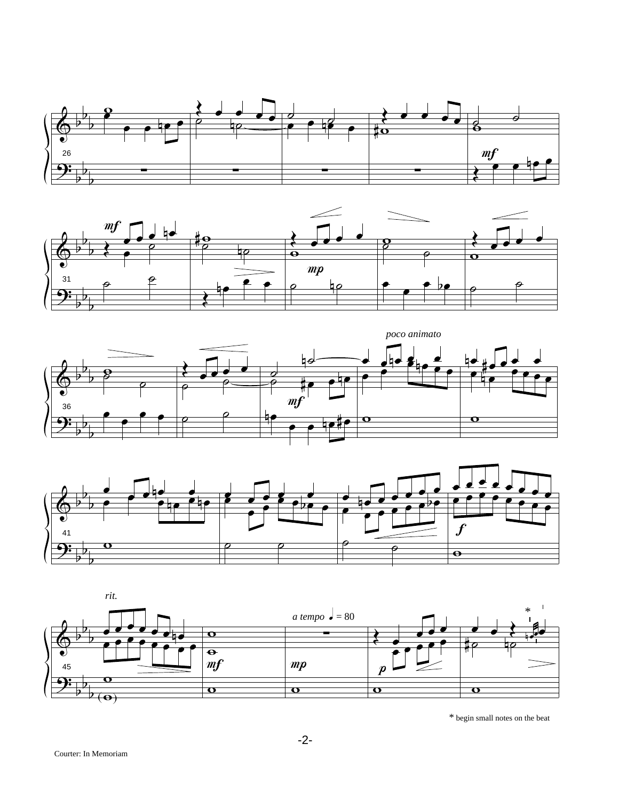









 $\displaystyle{ *}$  begin small notes on the beat

-2-